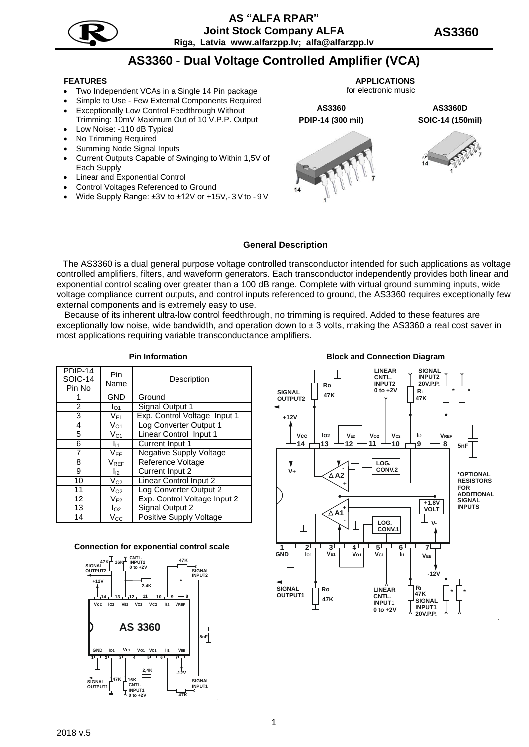

# **AS3360 - Dual Voltage Controlled Amplifier (VCA)**

- Two Independent VCAs in a Single 14 Pin package
- Simple to Use Few External Components Required
- Exceptionally Low Control Feedthrough Without Trimming: 10mV Maximum Out of 10 V.P.P. Output Low Noise: -110 dB Typical
- No Trimming Required
- Summing Node Signal Inputs
- Current Outputs Capable of Swinging to Within 1,5V of Each Supply
- Linear and Exponential Control
- Control Voltages Referenced to Ground
- Wide Supply Range: ±3V to ±12V or +15V,- 3 V to 9 V

**FEATURES APPLICATIONS** for electronic music

> **AS3360 AS3360D РDIP-14 (300 mil) SOIC-14 (150mil)**





### **General Description**

The AS3360 is a dual general purpose voltage controlled transconductor intended for such applications as voltage controlled amplifiers, filters, and waveform generators. Each transconductor independently provides both linear and exponential control scaling over greater than a 100 dB range. Complete with virtual ground summing inputs, wide voltage compliance current outputs, and control inputs referenced to ground, the AS3360 requires exceptionally few external components and is extremely easy to use.

Because of its inherent ultra-low control feedthrough, no trimming is required. Added to these features are exceptionally low noise, wide bandwidth, and operation down to  $\pm$  3 volts, making the AS3360 a real cost saver in most applications requiring variable transconductance amplifiers.

| PDIP-14<br><b>SOIC-14</b><br>Pin No | Pin<br>Name                 | Description                    |
|-------------------------------------|-----------------------------|--------------------------------|
|                                     | <b>GND</b>                  | Ground                         |
| 2                                   | $I_{O1}$                    | <b>Signal Output 1</b>         |
| 3                                   | $V_{E1}$                    | Exp. Control Voltage Input 1   |
| 4                                   | $\nabla_{\mathcal{O}1}$     | Log Converter Output 1         |
| 5                                   | $\rm V_{C1}$                | Linear Control Input 1         |
| 6                                   | $I_{11}$                    | Current Input 1                |
| 7                                   | V <sub>EE</sub>             | <b>Negative Supply Voltage</b> |
| 8                                   | $\mathsf{V}_{\mathsf{REF}}$ | Reference Voltage              |
| 9                                   | $I_{12}$                    | <b>Current Input 2</b>         |
| 10                                  | $V_{C2}$                    | <b>Linear Control Input 2</b>  |
| 11                                  | $\rm V_{O2}$                | Log Converter Output 2         |
| 12                                  | $V_{E2}$                    | Exp. Control Voltage Input 2   |
| 13                                  | $I_{O2}$                    | <b>Signal Output 2</b>         |
| 14                                  | $\rm V_{CC}$                | <b>Positive Supply Voltage</b> |

#### **Connection for exponential control scale**



**Pin Information Block and Connection Diagram**



2018 v.5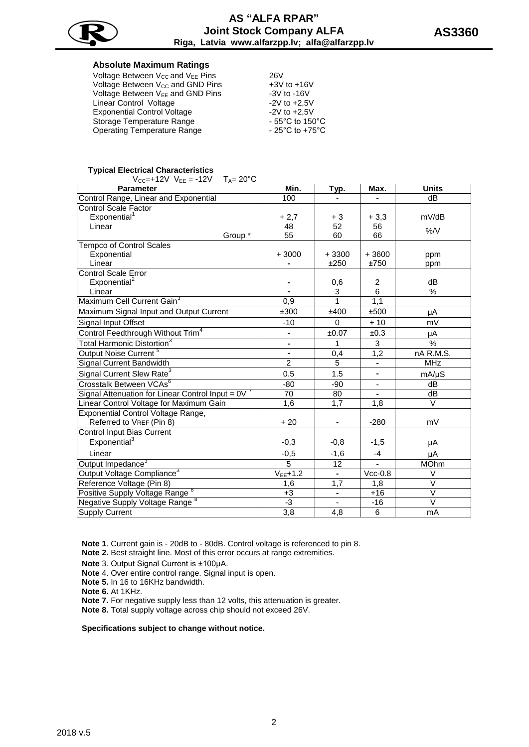

#### **Absolute Maximum Ratings**

| Voltage Between $V_{CC}$ and $V_{EE}$ Pins   | 26V                                   |
|----------------------------------------------|---------------------------------------|
| Voltage Between V <sub>CC</sub> and GND Pins | $+3V$ to $+16V$                       |
| Voltage Between V <sub>EE</sub> and GND Pins | $-3V$ to $-16V$                       |
| Linear Control Voltage                       | $-2V$ to $+2.5V$                      |
| <b>Exponential Control Voltage</b>           | $-2V$ to $+2.5V$                      |
| Storage Temperature Range                    | $-55^{\circ}$ C to 150 $^{\circ}$ C   |
| <b>Operating Temperature Range</b>           | - 25 $^{\circ}$ C to +75 $^{\circ}$ C |

#### **Typical Electrical Characteristics**

 $V_{CC}$ =+12V  $V_{EE}$  = -12V  $T_{A}$ = 20°C

| <b>Parameter</b>                                    | Min.           | Typ.                     | Max.                     | <b>Units</b>      |
|-----------------------------------------------------|----------------|--------------------------|--------------------------|-------------------|
| Control Range, Linear and Exponential               | 100            |                          |                          | dB                |
| <b>Control Scale Factor</b>                         |                |                          |                          |                   |
| Exponential <sup>1</sup>                            | $+2.7$         | $+3$                     | $+3,3$                   | mV/dB             |
| Linear                                              | 48             | 52                       | 56                       | %/V               |
| Group *                                             | 55             | 60                       | 66                       |                   |
| <b>Tempco of Control Scales</b>                     |                |                          |                          |                   |
| Exponential                                         | $+3000$        | $+3300$                  | $+3600$                  | ppm               |
| Linear                                              |                | ±250                     | ±750                     | ppm               |
| <b>Control Scale Error</b>                          |                |                          |                          |                   |
| Exponential <sup>2</sup>                            |                | 0,6                      | $\overline{2}$           | dB                |
| Linear                                              |                | 3                        | 6                        | %                 |
| Maximum Cell Current Gain <sup>3</sup>              | 0,9            | 1                        | 1,1                      |                   |
| Maximum Signal Input and Output Current             | ±300           | ±400                     | ±500                     | μA                |
| Signal Input Offset                                 | $-10$          | 0                        | $+10$                    | mV                |
| Control Feedthrough Without Trim <sup>4</sup>       |                | ±0.07                    | ±0.3                     | μA                |
| Total Harmonic Distortion <sup>3</sup>              | $\blacksquare$ | 1                        | 3                        | $\frac{1}{2}$     |
| Output Noise Current <sup>5</sup>                   | ä,             | 0,4                      | 1,2                      | nA R.M.S.         |
| Signal Current Bandwidth                            | $\overline{2}$ | $\overline{5}$           | $\overline{\phantom{a}}$ | <b>MHz</b>        |
| Signal Current Slew Rate <sup>3</sup>               | 0.5            | 1.5                      | $\blacksquare$           | $mA/\mu S$        |
| Crosstalk Between VCAs <sup>6</sup>                 | $-80$          | $-90$                    | $\blacksquare$           | dB                |
| Signal Attenuation for Linear Control Input = $0V7$ | 70             | 80                       | ٠.                       | dB                |
| Linear Control Voltage for Maximum Gain             | 1,6            | 1,7                      | 1,8                      | $\vee$            |
| Exponential Control Voltage Range,                  |                |                          |                          |                   |
| Referred to VREF (Pin 8)                            | $+20$          |                          | $-280$                   | mV                |
| Control Input Bias Current                          |                |                          |                          |                   |
| Exponential <sup>3</sup>                            | $-0,3$         | $-0,8$                   | $-1,5$                   | μA                |
| Linear                                              | $-0,5$         | $-1,6$                   | $-4$                     | μA                |
| Output Impedance <sup>3</sup>                       | $\overline{5}$ | 12                       |                          | <b>MOhm</b>       |
| Output Voltage Compliance <sup>3</sup>              | $V_{EE}+1.2$   | $\blacksquare$           | $Vcc-0.8$                | $\vee$            |
| Reference Voltage (Pin 8)                           | 1,6            | 1,7                      | 1,8                      | $\vee$            |
| Positive Supply Voltage Range <sup>8</sup>          | $+3$           | $\overline{\phantom{0}}$ | $+16$                    | $\overline{\vee}$ |
| Negative Supply Voltage Range <sup>8</sup>          | -3             |                          | $-16$                    | $\vee$            |
| <b>Supply Current</b>                               | 3,8            | 4,8                      | $\overline{6}$           | mA                |

**Note 1**. Current gain is - 20dB to - 80dB. Control voltage is referenced to pin 8.

**Note 2.** Best straight line. Most of this error occurs at range extremities.

**Note** 3. Output Signal Current is ±100µA.

**Note** 4. Over entire control range. Signal input is open.

**Note 5.** In 16 to 16KHz bandwidth.

**Note 6.** At 1KHz.

**Note 7.** For negative supply less than 12 volts, this attenuation is greater.

**Note 8.** Total supply voltage across chip should not exceed 26V.

#### **Specifications subject to change without notice.**

**AS3360**